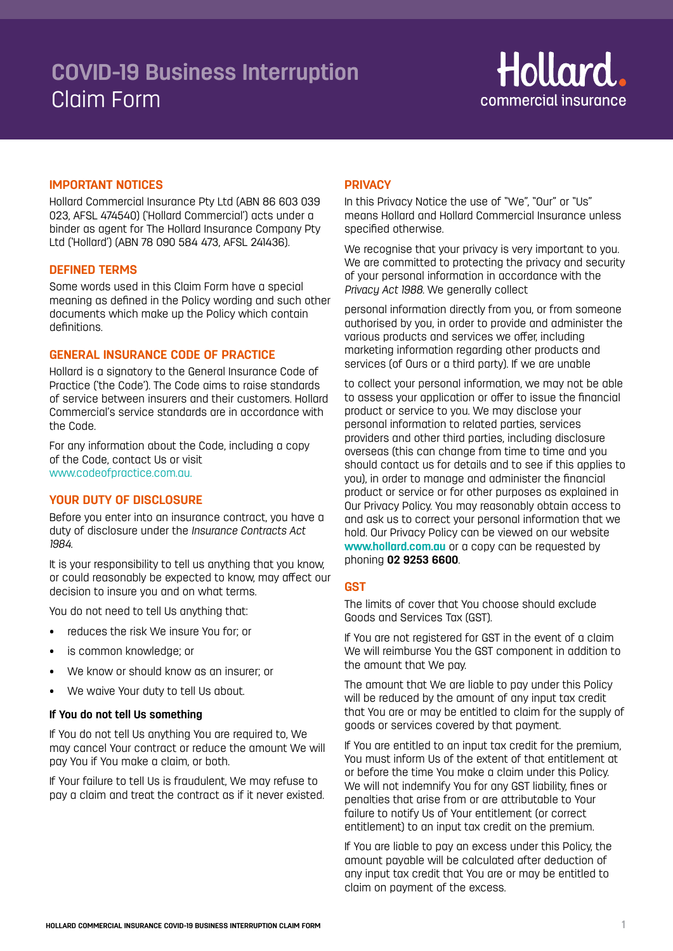# **COVID-19 Business Interruption**  Claim Form



## **IMPORTANT NOTICES**

Hollard Commercial Insurance Pty Ltd (ABN 86 603 039 023, AFSL 474540) ('Hollard Commercial') acts under a binder as agent for The Hollard Insurance Company Pty Ltd ('Hollard') (ABN 78 090 584 473, AFSL 241436).

## **DEFINED TERMS**

Some words used in this Claim Form have a special meaning as defined in the Policy wording and such other documents which make up the Policy which contain definitions.

## **GENERAL INSURANCE CODE OF PRACTICE**

Hollard is a signatory to the General Insurance Code of Practice ('the Code'). The Code aims to raise standards of service between insurers and their customers. Hollard Commercial's service standards are in accordance with the Code.

For any information about the Code, including a copy of the Code, contact Us or visit www.codeofpractice.com.au.

## **YOUR DUTY OF DISCLOSURE**

Before you enter into an insurance contract, you have a duty of disclosure under the *Insurance Contracts Act 1984.*

It is your responsibility to tell us anything that you know, or could reasonably be expected to know, may affect our decision to insure you and on what terms.

You do not need to tell Us anything that:

- reduces the risk We insure You for; or
- is common knowledge; or
- We know or should know as an insurer; or
- We waive Your duty to tell Us about.

#### **If You do not tell Us something**

If You do not tell Us anything You are required to, We may cancel Your contract or reduce the amount We will pay You if You make a claim, or both.

If Your failure to tell Us is fraudulent, We may refuse to pay a claim and treat the contract as if it never existed.

## **PRIVACY**

In this Privacy Notice the use of "We", "Our" or "Us" means Hollard and Hollard Commercial Insurance unless specified otherwise.

We recognise that your privacy is very important to you. We are committed to protecting the privacy and security of your personal information in accordance with the *Privacy Act 1988.* We generally collect

personal information directly from you, or from someone authorised by you, in order to provide and administer the various products and services we offer, including marketing information regarding other products and services (of Ours or a third party). If we are unable

to collect your personal information, we may not be able to assess your application or offer to issue the financial product or service to you. We may disclose your personal information to related parties, services providers and other third parties, including disclosure overseas (this can change from time to time and you should contact us for details and to see if this applies to you), in order to manage and administer the financial product or service or for other purposes as explained in Our Privacy Policy. You may reasonably obtain access to and ask us to correct your personal information that we hold. Our Privacy Policy can be viewed on our website **www.hollard.com.au** or a copy can be requested by phoning **02 9253 6600**.

## **GST**

The limits of cover that You choose should exclude Goods and Services Tax (GST).

If You are not registered for GST in the event of a claim We will reimburse You the GST component in addition to the amount that We pay.

The amount that We are liable to pay under this Policy will be reduced by the amount of any input tax credit that You are or may be entitled to claim for the supply of goods or services covered by that payment.

If You are entitled to an input tax credit for the premium, You must inform Us of the extent of that entitlement at or before the time You make a claim under this Policy. We will not indemnify You for any GST liability, fines or penalties that arise from or are attributable to Your failure to notify Us of Your entitlement (or correct entitlement) to an input tax credit on the premium.

If You are liable to pay an excess under this Policy, the amount payable will be calculated after deduction of any input tax credit that You are or may be entitled to claim on payment of the excess.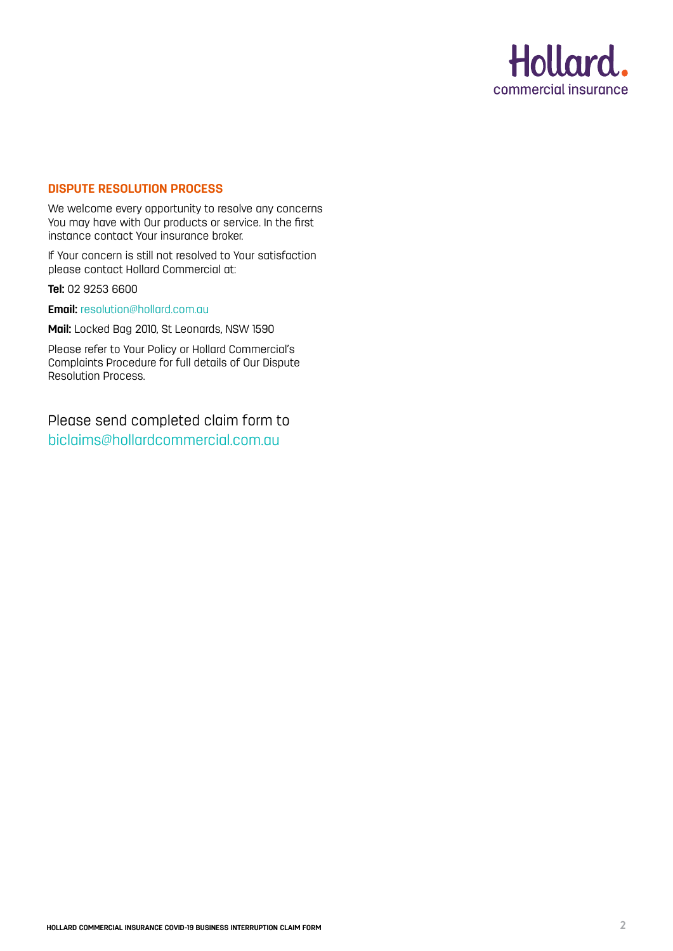

# **DISPUTE RESOLUTION PROCESS**

We welcome every opportunity to resolve any concerns You may have with Our products or service. In the first instance contact Your insurance broker.

If Your concern is still not resolved to Your satisfaction please contact Hollard Commercial at:

**Tel:** 02 9253 6600

**Email:** resolution@hollard.com.au

**Mail:** Locked Bag 2010, St Leonards, NSW 1590

Please refer to Your Policy or Hollard Commercial's Complaints Procedure for full details of Our Dispute Resolution Process.

Please send completed claim form to biclaims@hollardcommercial.com.au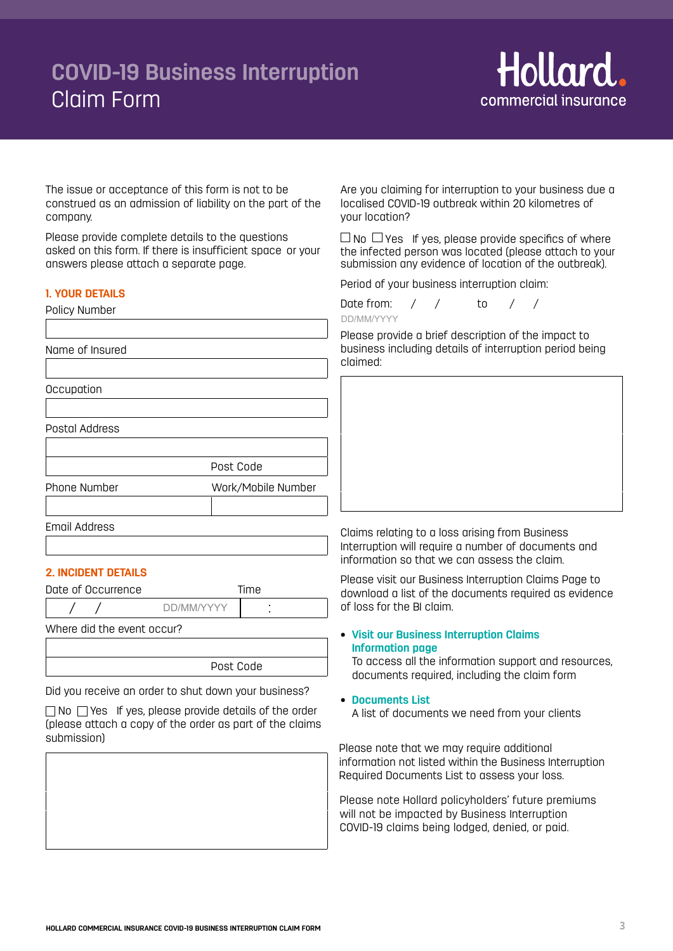# **COVID-19 Business Interruption**  Claim Form



The issue or acceptance of this form is not to be construed as an admission of liability on the part of the company.

Please provide complete details to the questions asked on this form. If there is insufficient space or your answers please attach a separate page.

## **1. YOUR DETAILS**

Policy Number

Name of Insured

**Occupation** 

Postal Address

Post Code Phone Number Work/Mobile Number

Email Address

# **2. INCIDENT DETAILS**

Date of Occurrence Time / / : DD/MM/YYYY

Where did the event occur?

Post Code

Did you receive an order to shut down your business?

 $\Box$  No  $\Box$  Yes If yes, please provide details of the order (please attach a copy of the order as part of the claims submission)

Are you claiming for interruption to your business due a localised COVID-19 outbreak within 20 kilometres of your location?

 $\Box$  No  $\Box$  Yes If yes, please provide specifics of where the infected person was located (please attach to your submission any evidence of location of the outbreak).

Period of your business interruption claim:

| Date from: |  |  |  |
|------------|--|--|--|
| DD/MM/YYYY |  |  |  |

ŗ Please provide a brief description of the impact to business including details of interruption period being claimed:

Claims relating to a loss arising from Business Interruption will require a number of documents and information so that we can assess the claim.

Please visit our Business Interruption Claims Page to download a list of the documents required as evidence of loss for the BI claim.

**• [Visit our Business Interruption Claims](https://www.hollardcommercial.com.au/claims/business-interruption-online-claims/) Information page**

To access all the information support and resources, documents required, including the claim form

**• [Documents List](https://www.hollardcommercial.com.au/media/2082/business-interruption-claims-documents-required.pdf)**

A list of documents we need from your clients

Please note that we may require additional information not listed within the Business Interruption Required Documents List to assess your loss.

Please note Hollard policyholders' future premiums will not be impacted by Business Interruption COVID-19 claims being lodged, denied, or paid.